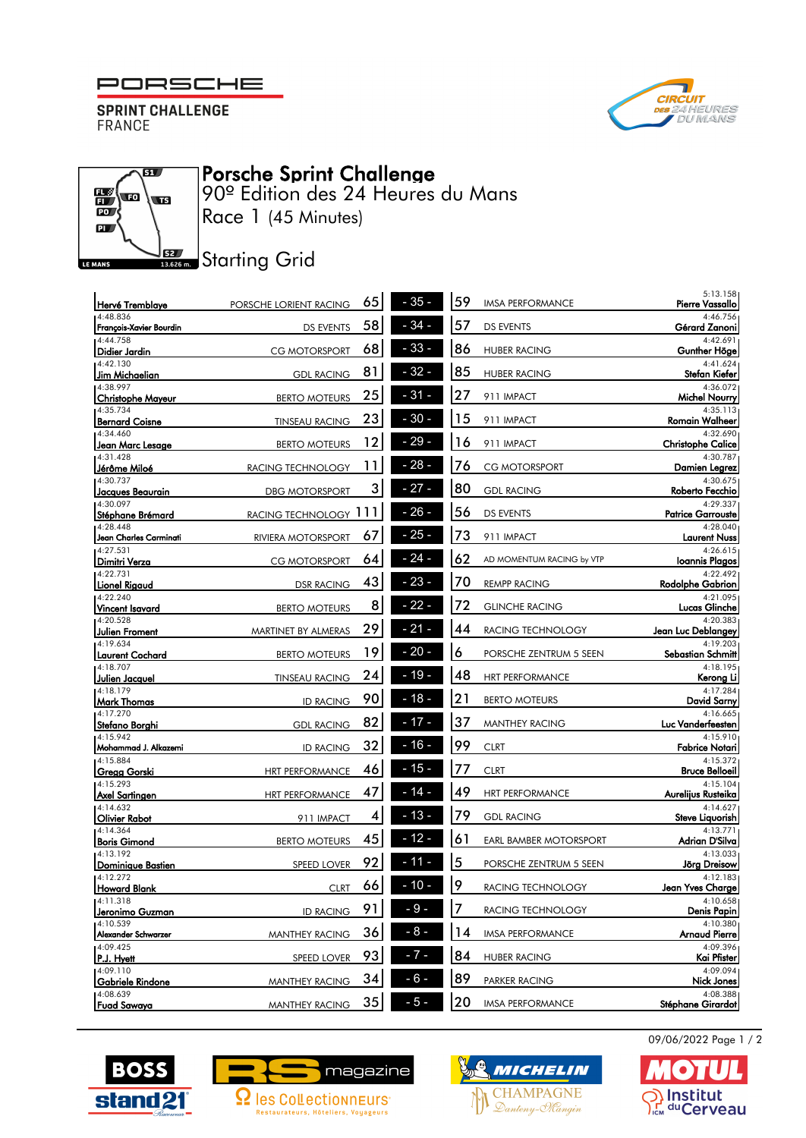## PORSCHE







## Porsche Sprint Challenge

90º Edition des 24 Heures du Mans Race 1 (45 Minutes)

**JEE** Starting Grid

| Hervé Tremblaye                     | PORSCHE LORIENT RACING | 65 | $-35-$ | 59 | <b>IMSA PERFORMANCE</b>       | 5:13.158<br>Pierre Vassallo          |
|-------------------------------------|------------------------|----|--------|----|-------------------------------|--------------------------------------|
| 4:48.836<br>François-Xavier Bourdin | <b>DS EVENTS</b>       | 58 | $-34-$ | 57 | <b>DS EVENTS</b>              | 4:46.756<br>Gérard Zanoni            |
| 4:44.758<br> Didier Jardin          | <b>CG MOTORSPORT</b>   | 68 | $-33-$ | 86 | <b>HUBER RACING</b>           | 4:42.691<br>Gunther Höge             |
| 4:42.130<br>Jim Michaelian          | <b>GDL RACING</b>      | 81 | $-32-$ | 85 | <b>HUBER RACING</b>           | 4:41.624<br>Stefan Kiefer            |
| 4:38.997<br> Christophe Mayeur      | <b>BERTO MOTEURS</b>   | 25 | $31 -$ | 27 | 911 IMPACT                    | 4:36.072<br>Michel Nourry            |
| 4:35.734<br><b>Bernard Coisne</b>   | <b>TINSEAU RACING</b>  | 23 | $-30-$ | 15 | 911 IMPACT                    | 4:35.113<br><b>Romain Walheer</b>    |
| 4:34.460<br>Jean Marc Lesage        | <b>BERTO MOTEURS</b>   | 12 | 29     | 16 | 911 IMPACT                    | 4:32.690<br><b>Christophe Calice</b> |
| 4:31.428<br>Jérôme Miloé            | RACING TECHNOLOGY      | 11 | 28     | 76 | <b>CG MOTORSPORT</b>          | 4:30.787<br>Damien Legrez            |
| 4:30.737<br>Jacques Beaurain        | <b>DBG MOTORSPORT</b>  | 3  | $27 -$ | 80 | <b>GDL RACING</b>             | 4:30.675<br>Roberto Fecchio          |
| 4:30.097<br>Stéphane Brémard        | RACING TECHNOLOGY 111  |    | $-26-$ | 56 | <b>DS EVENTS</b>              | 4:29.337<br><b>Patrice Garrouste</b> |
| 14:28.448<br>Jean Charles Carminati | RIVIERA MOTORSPORT     | 67 | $25 -$ | 73 | 911 IMPACT                    | 4:28.040<br><b>Laurent Nuss</b>      |
| 4:27.531<br>Dimitri Verza           | CG MOTORSPORT          | 64 | $24 -$ | 62 | AD MOMENTUM RACING by VTP     | 4:26.615<br>Ioannis Plagos           |
| 4:22.731<br><b>Lionel Rigaud</b>    | <b>DSR RACING</b>      | 43 | $23 -$ | 70 | <b>REMPP RACING</b>           | 4:22.492<br>Rodolphe Gabrion         |
| 4:22.240<br>Vincent Isavard         | <b>BERTO MOTEURS</b>   | 8  | $22 -$ | 72 | <b>GLINCHE RACING</b>         | 4:21.095<br>Lucas Glinche            |
| 4:20.528<br><b>Julien Froment</b>   | MARTINET BY ALMERAS    | 29 | 21     | 44 | RACING TECHNOLOGY             | 4:20.383<br>Jean Luc Deblangey       |
| 4:19.634<br>Laurent Cochard         | <b>BERTO MOTEURS</b>   | 19 | 20     | 6  | PORSCHE ZENTRUM 5 SEEN        | 4:19.203<br>Sebastian Schmitt        |
| 4:18.707<br>Julien Jacquel          | <b>TINSEAU RACING</b>  | 24 | $-19$  | 48 | <b>HRT PERFORMANCE</b>        | 4:18.195<br>Kerong Li                |
| 4:18.179<br>Mark Thomas             | <b>ID RACING</b>       | 90 | $-18-$ | 21 | <b>BERTO MOTEURS</b>          | 4:17.284<br>David Sarny              |
| 4:17.270<br> Stefano Borghi         | <b>GDL RACING</b>      | 82 | $17 -$ | 37 | <b>MANTHEY RACING</b>         | 4:16.665<br>Luc Vanderfeesten        |
| 4:15.942<br>Mohammad J. Alkazemi    | <b>ID RACING</b>       | 32 | $16 -$ | 99 | <b>CLRT</b>                   | 4:15.910<br>Fabrice Notari           |
| 4:15.884<br> Gregg Gorski           | <b>HRT PERFORMANCE</b> | 46 | $15 -$ | 77 | <b>CLRT</b>                   | 4:15.372<br><b>Bruce Belloeil</b>    |
| 4:15.293<br>Axel Sartingen          | <b>HRT PERFORMANCE</b> | 47 | $14 -$ | 49 | <b>HRT PERFORMANCE</b>        | 4:15.104<br>Aurelijus Rusteika       |
| 4:14.632<br>Olivier Rabot           | 911 IMPACT             | 4  | 13     | 79 | <b>GDL RACING</b>             | 4:14.627<br>Steve Liquorish          |
| 14:14.364<br>Boris Gimond           | <b>BERTO MOTEURS</b>   | 45 | - 12 - | 61 | <b>EARL BAMBER MOTORSPORT</b> | 4:13.771<br>Adrian D'Silva           |
| 4:13.192<br>Dominique Bastien       | <b>SPEED LOVER</b>     | 92 | - 11   | 5  | PORSCHE ZENTRUM 5 SEEN        | 4:13.033<br>Jörg Dreisow             |
| 14:12.272<br>Howard Blank           | <b>CLRT</b>            | 66 | $-10-$ | 9  | RACING TECHNOLOGY             | 4:12.183<br>Jean Yves Charge         |
| 4:11.318<br>Jeronimo Guzman         | <b>ID RACING</b>       | 91 | $-9-$  | 7  | RACING TECHNOLOGY             | 4:10.658<br>Denis Papin              |
| 4:10.539<br>Alexander Schwarzer     | MANTHEY RACING         | 36 | $-8-$  | 14 | <b>IMSA PERFORMANCE</b>       | 4:10.380<br>Arnaud Pierre            |
| 4:09.425<br>P.J. Hyett              | SPEED LOVER            | 93 | $-7-$  | 84 | <b>HUBER RACING</b>           | 4:09.396<br>Kai Pfister              |
| 4:09.110<br>Gabriele Rindone        | <b>MANTHEY RACING</b>  | 34 | $-6-$  | 89 | PARKER RACING                 | 4:09.094<br>Nick Jones               |
| 4:08.639<br>Fuad Sawaya             | <b>MANTHEY RACING</b>  | 35 | $-5-$  | 20 | <b>IMSA PERFORMANCE</b>       | 4:08.388<br>Stéphane Girardot        |

09/06/2022 Page 1 / 2